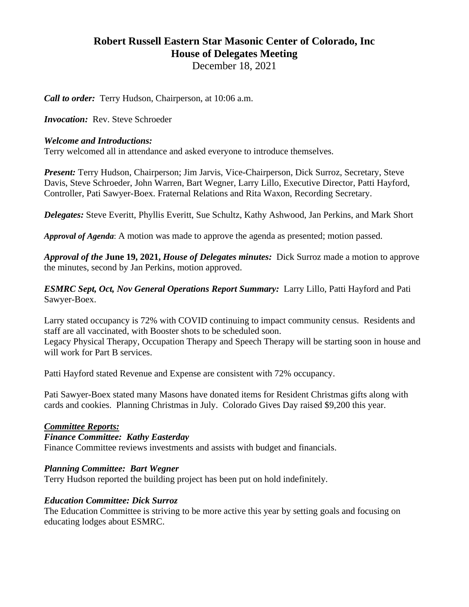# **Robert Russell Eastern Star Masonic Center of Colorado, Inc House of Delegates Meeting**

December 18, 2021

*Call to order:* Terry Hudson, Chairperson, at 10:06 a.m.

*Invocation:* Rev. Steve Schroeder

### *Welcome and Introductions:*

Terry welcomed all in attendance and asked everyone to introduce themselves.

*Present:* Terry Hudson, Chairperson; Jim Jarvis, Vice-Chairperson, Dick Surroz, Secretary, Steve Davis, Steve Schroeder, John Warren, Bart Wegner, Larry Lillo, Executive Director, Patti Hayford, Controller, Pati Sawyer-Boex. Fraternal Relations and Rita Waxon, Recording Secretary.

*Delegates:* Steve Everitt, Phyllis Everitt, Sue Schultz, Kathy Ashwood, Jan Perkins, and Mark Short

*Approval of Agenda*: A motion was made to approve the agenda as presented; motion passed.

*Approval of the* **June 19, 2021,** *House of Delegates minutes:* Dick Surroz made a motion to approve the minutes, second by Jan Perkins, motion approved.

*ESMRC Sept, Oct, Nov General Operations Report Summary:* Larry Lillo, Patti Hayford and Pati Sawyer-Boex.

Larry stated occupancy is 72% with COVID continuing to impact community census. Residents and staff are all vaccinated, with Booster shots to be scheduled soon. Legacy Physical Therapy, Occupation Therapy and Speech Therapy will be starting soon in house and will work for Part B services.

Patti Hayford stated Revenue and Expense are consistent with 72% occupancy.

Pati Sawyer-Boex stated many Masons have donated items for Resident Christmas gifts along with cards and cookies. Planning Christmas in July. Colorado Gives Day raised \$9,200 this year.

# *Committee Reports:*

#### *Finance Committee: Kathy Easterday*

Finance Committee reviews investments and assists with budget and financials.

# *Planning Committee: Bart Wegner*

Terry Hudson reported the building project has been put on hold indefinitely.

#### *Education Committee: Dick Surroz*

The Education Committee is striving to be more active this year by setting goals and focusing on educating lodges about ESMRC.